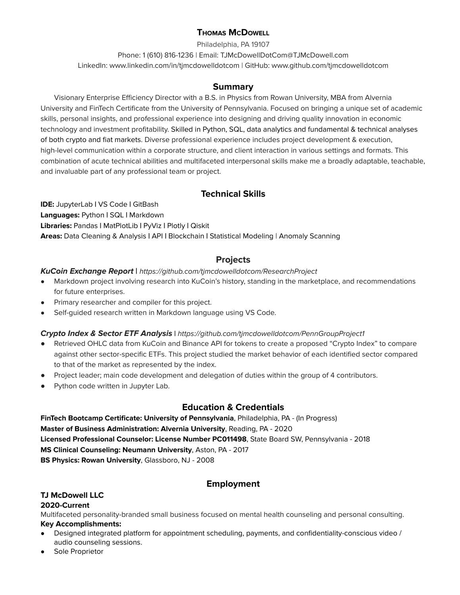## **THOMAS MCDOWELL**

Philadelphia, PA 19107 Phone: 1 (610) 816-1236 | Email: TJMcDowellDotCom@TJMcDowell.com LinkedIn: www.linkedin.com/in/tjmcdowelldotcom | GitHub: www.github.com/tjmcdowelldotcom

### **Summary**

Visionary Enterprise Efficiency Director with a B.S. in Physics from Rowan University, MBA from Alvernia University and FinTech Certificate from the University of Pennsylvania. Focused on bringing a unique set of academic skills, personal insights, and professional experience into designing and driving quality innovation in economic technology and investment profitability. Skilled in Python, SQL, data analytics and fundamental & technical analyses of both crypto and fiat markets. Diverse professional experience includes project development & execution, high-level communication within a corporate structure, and client interaction in various settings and formats. This combination of acute technical abilities and multifaceted interpersonal skills make me a broadly adaptable, teachable, and invaluable part of any professional team or project.

# **Technical Skills**

**IDE:** JupyterLab **|** VS Code **|** GitBash **Languages:** Python **|** SQL **|** Markdown **Libraries:** Pandas **|** MatPlotLib **|** PyViz **|** Plotly **|** Qiskit **Areas:** Data Cleaning & Analysis **|** API **|** Blockchain **|** Statistical Modeling | Anomaly Scanning

# **Projects**

#### **KuCoin Exchange Report |** <https://github.com/tjmcdowelldotcom/ResearchProject>

- **●** Markdown project involving research into KuCoin's history, standing in the marketplace, and recommendations for future enterprises.
- Primary researcher and compiler for this project.
- Self-guided research written in Markdown language using VS Code.

### **Crypto Index & Sector ETF Analysis |** <https://github.com/tjmcdowelldotcom/PennGroupProject1>

- Retrieved OHLC data from KuCoin and Binance API for tokens to create a proposed "Crypto Index" to compare against other sector-specific ETFs. This project studied the market behavior of each identified sector compared to that of the market as represented by the index.
- Project leader; main code development and delegation of duties within the group of 4 contributors.
- Python code written in Jupyter Lab.

# **Education & Credentials**

**FinTech Bootcamp Certificate: University of Pennsylvania**, Philadelphia, PA - (In Progress) **Master of Business Administration: Alvernia University**, Reading, PA - 2020 **Licensed Professional Counselor: License Number PC011498**, State Board SW, Pennsylvania - 2018 **MS Clinical Counseling: Neumann University**, Aston, PA - 2017 **BS Physics: Rowan University**, Glassboro, NJ - 2008

## **Employment**

## **TJ McDowell LLC**

#### **2020-Current**

Multifaceted personality-branded small business focused on mental health counseling and personal consulting. **Key Accomplishments:**

- Designed integrated platform for appointment scheduling, payments, and confidentiality-conscious video / audio counseling sessions.
- Sole Proprietor